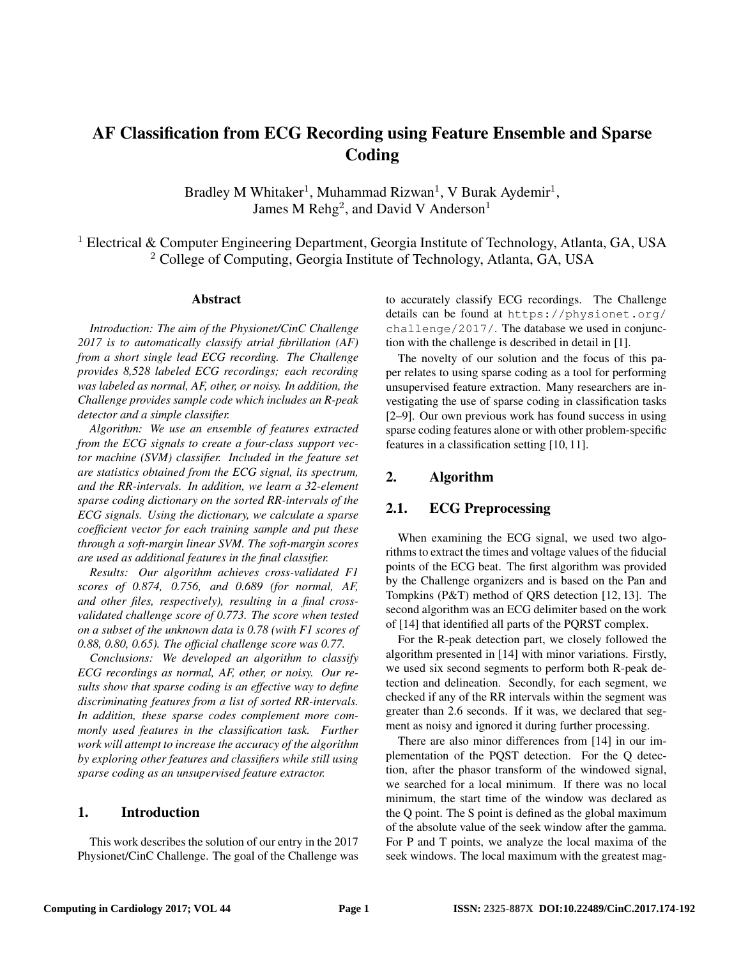# AF Classification from ECG Recording using Feature Ensemble and Sparse Coding

Bradley M Whitaker<sup>1</sup>, Muhammad Rizwan<sup>1</sup>, V Burak Aydemir<sup>1</sup>, James M  $\text{Rehg}^2$ , and David V Anderson<sup>1</sup>

<sup>1</sup> Electrical & Computer Engineering Department, Georgia Institute of Technology, Atlanta, GA, USA <sup>2</sup> College of Computing, Georgia Institute of Technology, Atlanta, GA, USA

#### Abstract

*Introduction: The aim of the Physionet/CinC Challenge 2017 is to automatically classify atrial fibrillation (AF) from a short single lead ECG recording. The Challenge provides 8,528 labeled ECG recordings; each recording was labeled as normal, AF, other, or noisy. In addition, the Challenge provides sample code which includes an R-peak detector and a simple classifier.*

*Algorithm: We use an ensemble of features extracted from the ECG signals to create a four-class support vector machine (SVM) classifier. Included in the feature set are statistics obtained from the ECG signal, its spectrum, and the RR-intervals. In addition, we learn a 32-element sparse coding dictionary on the sorted RR-intervals of the ECG signals. Using the dictionary, we calculate a sparse coefficient vector for each training sample and put these through a soft-margin linear SVM. The soft-margin scores are used as additional features in the final classifier.*

*Results: Our algorithm achieves cross-validated F1 scores of 0.874, 0.756, and 0.689 (for normal, AF, and other files, respectively), resulting in a final crossvalidated challenge score of 0.773. The score when tested on a subset of the unknown data is 0.78 (with F1 scores of 0.88, 0.80, 0.65). The official challenge score was 0.77.*

*Conclusions: We developed an algorithm to classify ECG recordings as normal, AF, other, or noisy. Our results show that sparse coding is an effective way to define discriminating features from a list of sorted RR-intervals. In addition, these sparse codes complement more commonly used features in the classification task. Further work will attempt to increase the accuracy of the algorithm by exploring other features and classifiers while still using sparse coding as an unsupervised feature extractor.*

## 1. Introduction

This work describes the solution of our entry in the 2017 Physionet/CinC Challenge. The goal of the Challenge was to accurately classify ECG recordings. The Challenge details can be found at https://physionet.org/ challenge/2017/. The database we used in conjunction with the challenge is described in detail in [1].

The novelty of our solution and the focus of this paper relates to using sparse coding as a tool for performing unsupervised feature extraction. Many researchers are investigating the use of sparse coding in classification tasks [2–9]. Our own previous work has found success in using sparse coding features alone or with other problem-specific features in a classification setting [10, 11].

#### 2. Algorithm

## 2.1. ECG Preprocessing

When examining the ECG signal, we used two algorithms to extract the times and voltage values of the fiducial points of the ECG beat. The first algorithm was provided by the Challenge organizers and is based on the Pan and Tompkins (P&T) method of QRS detection [12, 13]. The second algorithm was an ECG delimiter based on the work of [14] that identified all parts of the PQRST complex.

For the R-peak detection part, we closely followed the algorithm presented in [14] with minor variations. Firstly, we used six second segments to perform both R-peak detection and delineation. Secondly, for each segment, we checked if any of the RR intervals within the segment was greater than 2.6 seconds. If it was, we declared that segment as noisy and ignored it during further processing.

There are also minor differences from [14] in our implementation of the PQST detection. For the Q detection, after the phasor transform of the windowed signal, we searched for a local minimum. If there was no local minimum, the start time of the window was declared as the Q point. The S point is defined as the global maximum of the absolute value of the seek window after the gamma. For P and T points, we analyze the local maxima of the seek windows. The local maximum with the greatest mag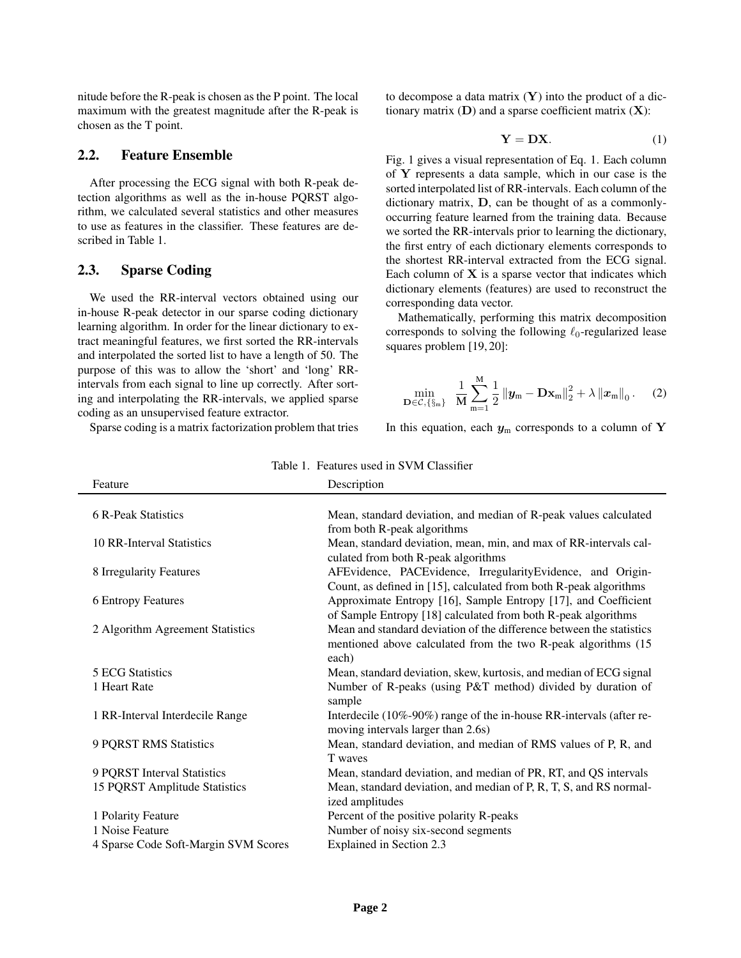nitude before the R-peak is chosen as the P point. The local maximum with the greatest magnitude after the R-peak is chosen as the T point.

#### 2.2. Feature Ensemble

After processing the ECG signal with both R-peak detection algorithms as well as the in-house PQRST algorithm, we calculated several statistics and other measures to use as features in the classifier. These features are described in Table 1.

#### 2.3. Sparse Coding

We used the RR-interval vectors obtained using our in-house R-peak detector in our sparse coding dictionary learning algorithm. In order for the linear dictionary to extract meaningful features, we first sorted the RR-intervals and interpolated the sorted list to have a length of 50. The purpose of this was to allow the 'short' and 'long' RRintervals from each signal to line up correctly. After sorting and interpolating the RR-intervals, we applied sparse coding as an unsupervised feature extractor.

Sparse coding is a matrix factorization problem that tries

to decompose a data matrix  $(Y)$  into the product of a dictionary matrix  $(D)$  and a sparse coefficient matrix  $(X)$ :

$$
Y = DX.
$$
 (1)

Fig. 1 gives a visual representation of Eq. 1. Each column of Y represents a data sample, which in our case is the sorted interpolated list of RR-intervals. Each column of the dictionary matrix, D, can be thought of as a commonlyoccurring feature learned from the training data. Because we sorted the RR-intervals prior to learning the dictionary, the first entry of each dictionary elements corresponds to the shortest RR-interval extracted from the ECG signal. Each column of  $X$  is a sparse vector that indicates which dictionary elements (features) are used to reconstruct the corresponding data vector.

Mathematically, performing this matrix decomposition corresponds to solving the following  $\ell_0$ -regularized lease squares problem [19, 20]:

$$
\min_{\mathbf{D}\in\mathcal{C},\{\S_{m}\}} \ \frac{1}{M}\sum_{m=1}^{M}\frac{1}{2}\left\|\mathbf{y}_{m}-\mathbf{D}\mathbf{x}_{m}\right\|_{2}^{2}+\lambda\left\|\mathbf{x}_{m}\right\|_{0}.\tag{2}
$$

In this equation, each  $y_m$  corresponds to a column of Y

| Feature                              | Description                                                                                              |
|--------------------------------------|----------------------------------------------------------------------------------------------------------|
|                                      |                                                                                                          |
| 6 R-Peak Statistics                  | Mean, standard deviation, and median of R-peak values calculated                                         |
|                                      | from both R-peak algorithms                                                                              |
| 10 RR-Interval Statistics            | Mean, standard deviation, mean, min, and max of RR-intervals cal-<br>culated from both R-peak algorithms |
| 8 Irregularity Features              | AFEvidence, PACEvidence, IrregularityEvidence, and Origin-                                               |
|                                      | Count, as defined in [15], calculated from both R-peak algorithms                                        |
| <b>6 Entropy Features</b>            | Approximate Entropy [16], Sample Entropy [17], and Coefficient                                           |
|                                      | of Sample Entropy [18] calculated from both R-peak algorithms                                            |
| 2 Algorithm Agreement Statistics     | Mean and standard deviation of the difference between the statistics                                     |
|                                      | mentioned above calculated from the two R-peak algorithms (15                                            |
|                                      | each)                                                                                                    |
| 5 ECG Statistics                     | Mean, standard deviation, skew, kurtosis, and median of ECG signal                                       |
| 1 Heart Rate                         | Number of R-peaks (using P&T method) divided by duration of<br>sample                                    |
| 1 RR-Interval Interdecile Range      | Interdecile (10%-90%) range of the in-house RR-intervals (after re-                                      |
|                                      | moving intervals larger than 2.6s)                                                                       |
| 9 PQRST RMS Statistics               | Mean, standard deviation, and median of RMS values of P, R, and                                          |
|                                      | T waves                                                                                                  |
| 9 PQRST Interval Statistics          | Mean, standard deviation, and median of PR, RT, and QS intervals                                         |
| 15 PQRST Amplitude Statistics        | Mean, standard deviation, and median of P, R, T, S, and RS normal-                                       |
|                                      | ized amplitudes                                                                                          |
| 1 Polarity Feature                   | Percent of the positive polarity R-peaks                                                                 |
| 1 Noise Feature                      | Number of noisy six-second segments                                                                      |
| 4 Sparse Code Soft-Margin SVM Scores | Explained in Section 2.3                                                                                 |

Table 1. Features used in SVM Classifier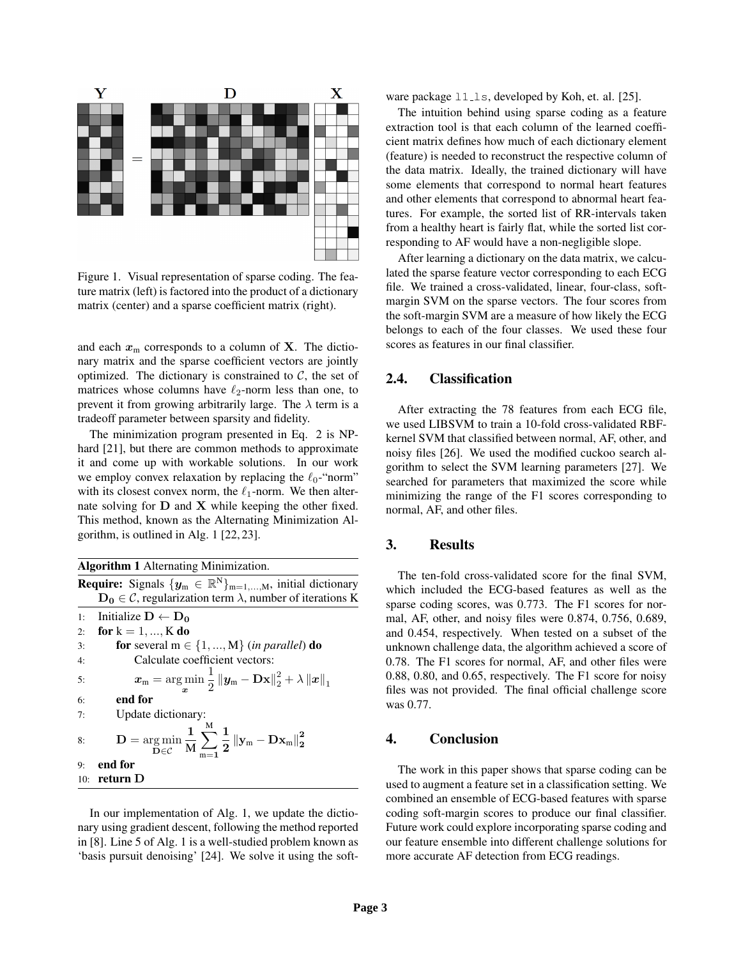

Figure 1. Visual representation of sparse coding. The feature matrix (left) is factored into the product of a dictionary matrix (center) and a sparse coefficient matrix (right).

and each  $x_m$  corresponds to a column of **X**. The dictionary matrix and the sparse coefficient vectors are jointly optimized. The dictionary is constrained to  $C$ , the set of matrices whose columns have  $\ell_2$ -norm less than one, to prevent it from growing arbitrarily large. The  $\lambda$  term is a tradeoff parameter between sparsity and fidelity.

The minimization program presented in Eq. 2 is NPhard [21], but there are common methods to approximate it and come up with workable solutions. In our work we employ convex relaxation by replacing the  $\ell_0$ -"norm" with its closest convex norm, the  $\ell_1$ -norm. We then alternate solving for  $D$  and  $X$  while keeping the other fixed. This method, known as the Alternating Minimization Algorithm, is outlined in Alg. 1 [22, 23].

|  | <b>Algorithm 1</b> Alternating Minimization. |  |  |  |
|--|----------------------------------------------|--|--|--|
|  |                                              |  |  |  |

**Require:** Signals  $\{y_m \in \mathbb{R}^N\}_{m=1,\ldots,M}$ , initial dictionary  $D_0 \in \mathcal{C}$ , regularization term  $\lambda$ , number of iterations K 1: Initialize  $D \leftarrow D_0$ 2: for  $k = 1, ..., K$  do 3: **for** several  $m \in \{1, ..., M\}$  (*in parallel*) **do** 4: Calculate coefficient vectors: 5:  $x_m = \argmin_{\bm{x}}$ 1  $\frac{1}{2}\left\|\boldsymbol{y}_{\text{m}}-\mathbf{D}\mathbf{x}\right\|_{2}^{2}+\lambda\left\|\boldsymbol{x}\right\|_{1}$ 6: end for 7: Update dictionary: 8:  $\mathbf{D} = \underset{\mathbf{D} \in \mathcal{C}}{\arg \min}$ 1 M  $\sum^{\mathrm{M}}$  $m=1$ 1  $\frac{1}{2}\left\Vert \mathbf{y}_{\mathrm{m}}-\mathbf{D}\mathbf{x}_{\mathrm{m}}\right\Vert _{2}^{2}$ 9: end for 10: return D

In our implementation of Alg. 1, we update the dictionary using gradient descent, following the method reported in [8]. Line 5 of Alg. 1 is a well-studied problem known as 'basis pursuit denoising' [24]. We solve it using the software package  $11 \text{--}1s$ , developed by Koh, et. al. [25].

The intuition behind using sparse coding as a feature extraction tool is that each column of the learned coefficient matrix defines how much of each dictionary element (feature) is needed to reconstruct the respective column of the data matrix. Ideally, the trained dictionary will have some elements that correspond to normal heart features and other elements that correspond to abnormal heart features. For example, the sorted list of RR-intervals taken from a healthy heart is fairly flat, while the sorted list corresponding to AF would have a non-negligible slope.

After learning a dictionary on the data matrix, we calculated the sparse feature vector corresponding to each ECG file. We trained a cross-validated, linear, four-class, softmargin SVM on the sparse vectors. The four scores from the soft-margin SVM are a measure of how likely the ECG belongs to each of the four classes. We used these four scores as features in our final classifier.

# 2.4. Classification

After extracting the 78 features from each ECG file, we used LIBSVM to train a 10-fold cross-validated RBFkernel SVM that classified between normal, AF, other, and noisy files [26]. We used the modified cuckoo search algorithm to select the SVM learning parameters [27]. We searched for parameters that maximized the score while minimizing the range of the F1 scores corresponding to normal, AF, and other files.

## 3. Results

The ten-fold cross-validated score for the final SVM, which included the ECG-based features as well as the sparse coding scores, was 0.773. The F1 scores for normal, AF, other, and noisy files were 0.874, 0.756, 0.689, and 0.454, respectively. When tested on a subset of the unknown challenge data, the algorithm achieved a score of 0.78. The F1 scores for normal, AF, and other files were 0.88, 0.80, and 0.65, respectively. The F1 score for noisy files was not provided. The final official challenge score was 0.77.

## 4. Conclusion

The work in this paper shows that sparse coding can be used to augment a feature set in a classification setting. We combined an ensemble of ECG-based features with sparse coding soft-margin scores to produce our final classifier. Future work could explore incorporating sparse coding and our feature ensemble into different challenge solutions for more accurate AF detection from ECG readings.